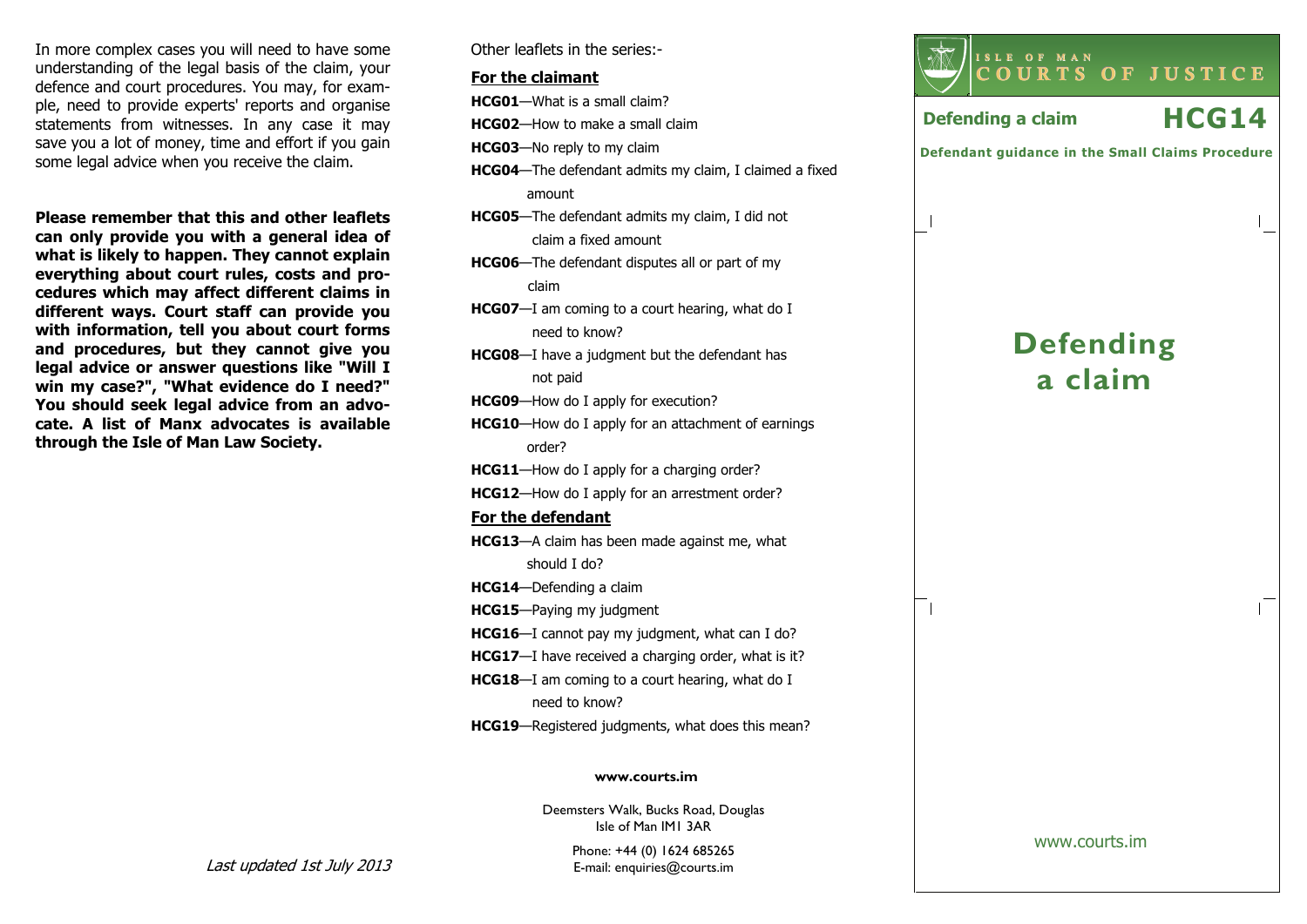In more complex cases you will need to have some understanding of the legal basis of the claim, your defence and court procedures. You may, for example, need to provide experts' reports and organise statements from witnesses. In any case it may save you a lot of money, time and effort if you gain some legal advice when you receive the claim.

**Please remember that this and other leaflets can only provide you with a general idea of what is likely to happen. They cannot explain everything about court rules, costs and procedures which may affect different claims in different ways. Court staff can provide you with information, tell you about court forms and procedures, but they cannot give you legal advice or answer questions like "Will I win my case?", "What evidence do I need?" You should seek legal advice from an advocate. A list of Manx advocates is available through the Isle of Man Law Society.** 

Other leaflets in the series:-

#### **For the claimant**

**HCG01**—What is a small claim?

**HCG02**—How to make a small claim

**HCG03**—No reply to my claim

- **HCG04**—The defendant admits my claim, I claimed a fixed amount
- **HCG05**—The defendant admits my claim, I did not claim a fixed amount
- **HCG06**—The defendant disputes all or part of my claim
- **HCG07**—I am coming to a court hearing, what do I need to know?
- **HCG08**—I have a judgment but the defendant has not paid
- **HCG09**—How do I apply for execution?
- **HCG10**—How do I apply for an attachment of earnings order?
- **HCG11**—How do I apply for a charging order? **HCG12**—How do I apply for an arrestment order?

#### **For the defendant**

- **HCG13**—A claim has been made against me, what should I do?
- **HCG14**—Defending a claim
- **HCG15**—Paying my judgment
- **HCG16**—I cannot pay my judgment, what can I do?
- **HCG17**—I have received a charging order, what is it?
- **HCG18**—I am coming to a court hearing, what do I
- need to know?
- **HCG19**—Registered judgments, what does this mean?

#### **www.courts.im**

Deemsters Walk, Bucks Road, Douglas Isle of Man IM1 3AR

> Phone: +44 (0) 1624 685265 E-mail: enquiries@courts.im



www.courts.im